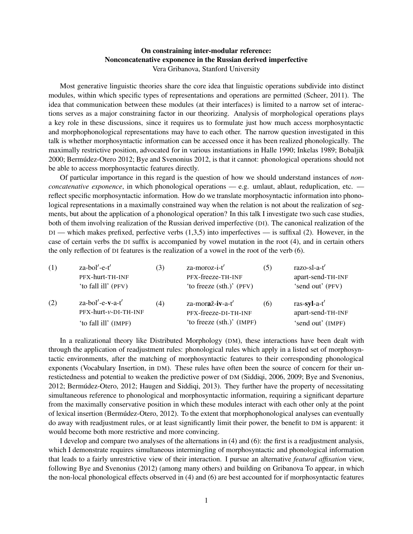## On constraining inter-modular reference: Nonconcatenative exponence in the Russian derived imperfective Vera Gribanova, Stanford University

Most generative linguistic theories share the core idea that linguistic operations subdivide into distinct modules, within which specific types of representations and operations are permitted (Scheer, 2011). The idea that communication between these modules (at their interfaces) is limited to a narrow set of interactions serves as a major constraining factor in our theorizing. Analysis of morphological operations plays a key role in these discussions, since it requires us to formulate just how much access morphosyntactic and morphophonological representations may have to each other. The narrow question investigated in this talk is whether morphosyntactic information can be accessed once it has been realized phonologically. The maximally restrictive position, advocated for in various instantiations in Halle 1990; Inkelas 1989; Bobaljik 2000; Bermúdez-Otero 2012; Bye and Svenonius 2012, is that it cannot: phonological operations should not be able to access morphosyntactic features directly.

Of particular importance in this regard is the question of how we should understand instances of *nonconcatenative exponence*, in which phonological operations — e.g. umlaut, ablaut, reduplication, etc. reflect specific morphosyntactic information. How do we translate morphosyntactic information into phonological representations in a maximally constrained way when the relation is not about the realization of segments, but about the application of a phonological operation? In this talk I investigate two such case studies, both of them involving realization of the Russian derived imperfective (DI). The canonical realization of the DI — which makes prefixed, perfective verbs (1,3,5) into imperfectives — is suffixal (2). However, in the case of certain verbs the DI suffix is accompanied by vowel mutation in the root (4), and in certain others the only reflection of DI features is the realization of a vowel in the root of the verb (6).

| (1) | $z$ a-bol'-e-t'<br>PFX-hurt-TH-INF<br>'to fall ill' (PFV)           | (3) | za-moroz-i-t'<br>PFX-freeze-TH-INF<br>'to freeze (sth.)' (PFV)        | (5) | razo-sl-a-t'<br>apart-send-TH-INF<br>'send out' (PFV)    |
|-----|---------------------------------------------------------------------|-----|-----------------------------------------------------------------------|-----|----------------------------------------------------------|
| (2) | $z$ a-bol'-e-v-a-t'<br>PFX-hurt-v-DI-TH-INF<br>'to fall ill' (IMPF) | (4) | za-moraž-iv-a-t'<br>PFX-freeze-DI-TH-INF<br>'to freeze (sth.)' (IMPF) | (6) | $ras-syl-a-t'$<br>apart-send-TH-INF<br>'send out' (IMPF) |

In a realizational theory like Distributed Morphology (DM), these interactions have been dealt with through the application of readjustment rules: phonological rules which apply in a listed set of morphosyntactic environments, after the matching of morphosyntactic features to their corresponding phonological exponents (Vocabulary Insertion, in DM). These rules have often been the source of concern for their unrestictedness and potential to weaken the predictive power of DM (Siddiqi, 2006, 2009; Bye and Svenonius, 2012; Bermúdez-Otero, 2012; Haugen and Siddiqi, 2013). They further have the property of necessitating simultaneous reference to phonological and morphosyntactic information, requiring a significant departure from the maximally conservative position in which these modules interact with each other only at the point of lexical insertion (Bermúdez-Otero, 2012). To the extent that morphophonological analyses can eventually do away with readjustment rules, or at least significantly limit their power, the benefit to DM is apparent: it would become both more restrictive and more convincing.

I develop and compare two analyses of the alternations in (4) and (6): the first is a readjustment analysis, which I demonstrate requires simultaneous intermingling of morphosyntactic and phonological information that leads to a fairly unrestrictive view of their interaction. I pursue an alternative *featural affixation* view, following Bye and Svenonius (2012) (among many others) and building on Gribanova To appear, in which the non-local phonological effects observed in (4) and (6) are best accounted for if morphosyntactic features